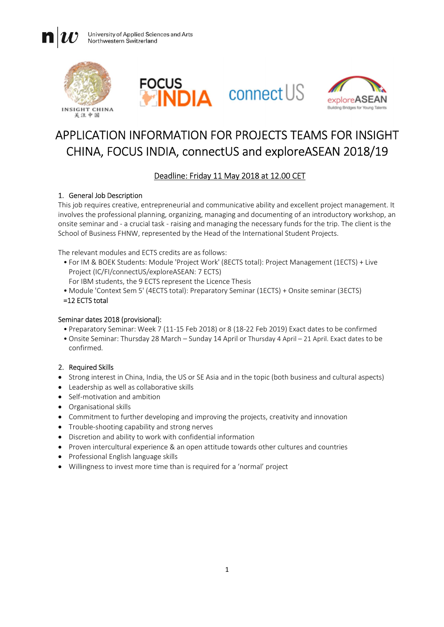University of Applied Sciences and Arts Northwestern Switzerland



 $\mathbf{n}$ 





# APPLICATION INFORMATION FOR PROJECTS TEAMS FOR INSIGHT CHINA, FOCUS INDIA, connectUS and exploreASEAN 2018/19

## Deadline: Friday 11 May 2018 at 12.00 CET

#### 1. General Job Description

This job requires creative, entrepreneurial and communicative ability and excellent project management. It involves the professional planning, organizing, managing and documenting of an introductory workshop, an onsite seminar and - a crucial task - raising and managing the necessary funds for the trip. The client is the School of Business FHNW, represented by the Head of the International Student Projects.

The relevant modules and ECTS credits are as follows:

- For IM & BOEK Students: Module 'Project Work' (8ECTS total): Project Management (1ECTS) + Live Project (IC/FI/connectUS/exploreASEAN: 7 ECTS)
	- For IBM students, the 9 ECTS represent the Licence Thesis
- Module 'Context Sem 5' (4ECTS total): Preparatory Seminar (1ECTS) + Onsite seminar (3ECTS)

#### =12 ECTS total

#### Seminar dates 2018 (provisional):

- Preparatory Seminar: Week 7 (11-15 Feb 2018) or 8 (18-22 Feb 2019) Exact dates to be confirmed
- Onsite Seminar: Thursday 28 March Sunday 14 April or Thursday 4 April 21 April. Exact dates to be confirmed.

#### 2. Required Skills

- Strong interest in China, India, the US or SE Asia and in the topic (both business and cultural aspects)
- Leadership as well as collaborative skills
- Self-motivation and ambition
- Organisational skills
- Commitment to further developing and improving the projects, creativity and innovation
- Trouble-shooting capability and strong nerves
- Discretion and ability to work with confidential information
- Proven intercultural experience & an open attitude towards other cultures and countries
- Professional English language skills
- Willingness to invest more time than is required for a 'normal' project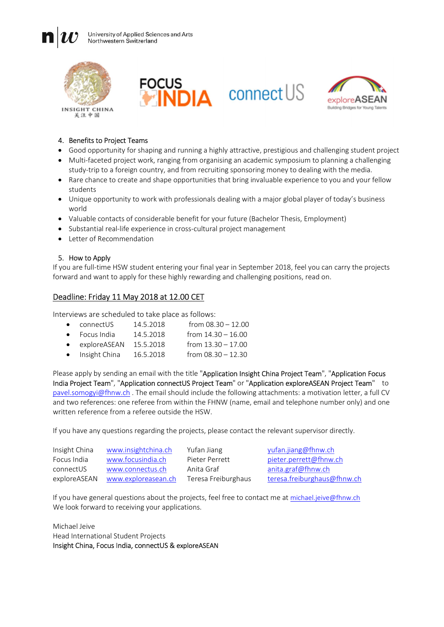University of Applied Sciences and Arts Northwestern Switzerland



n





#### 4. Benefits to Project Teams

- Good opportunity for shaping and running a highly attractive, prestigious and challenging student project
- Multi-faceted project work, ranging from organising an academic symposium to planning a challenging study-trip to a foreign country, and from recruiting sponsoring money to dealing with the media.
- Rare chance to create and shape opportunities that bring invaluable experience to you and your fellow students
- Unique opportunity to work with professionals dealing with a major global player of today's business world
- Valuable contacts of considerable benefit for your future (Bachelor Thesis, Employment)
- Substantial real-life experience in cross-cultural project management
- Letter of Recommendation

#### 5. How to Apply

If you are full-time HSW student entering your final year in September 2018, feel you can carry the projects forward and want to apply for these highly rewarding and challenging positions, read on.

### Deadline: Friday 11 May 2018 at 12.00 CET

Interviews are scheduled to take place as follows:

| $\bullet$ | connectUS     | 14.5.2018 | from $08.30 - 12.00$ |
|-----------|---------------|-----------|----------------------|
| $\bullet$ | Focus India   | 14.5.2018 | from $14.30 - 16.00$ |
| $\bullet$ | exploreASEAN  | 15.5.2018 | from $13.30 - 17.00$ |
| $\bullet$ | Insight China | 16.5.2018 | from $08.30 - 12.30$ |

Please apply by sending an email with the title "Application Insight China Project Team", "Application Focus India Project Team", "Application connectUS Project Team" or "Application exploreASEAN Project Team" to pavel.somogyi@fhnw.ch . The email should include the following attachments: a motivation letter, a full CV and two references: one referee from within the FHNW (name, email and telephone number only) and one written reference from a referee outside the HSW.

If you have any questions regarding the projects, please contact the relevant supervisor directly.

| Insight China | www.insightchina.ch | Yufan Jiang         | yufan.jiang@fhnw.ch         |
|---------------|---------------------|---------------------|-----------------------------|
| Focus India   | www.focusindia.ch   | Pieter Perrett      | pieter.perrett@fhnw.ch      |
| connectUS     | www.connectus.ch    | Anita Graf          | anita.graf@fhnw.ch          |
| exploreASEAN  | www.exploreasean.ch | Teresa Freiburghaus | teresa.freiburghaus@fhnw.ch |

If you have general questions about the projects, feel free to contact me at michael.jeive@fhnw.ch We look forward to receiving your applications.

Michael Jeive Head International Student Projects Insight China, Focus India, connectUS & exploreASEAN